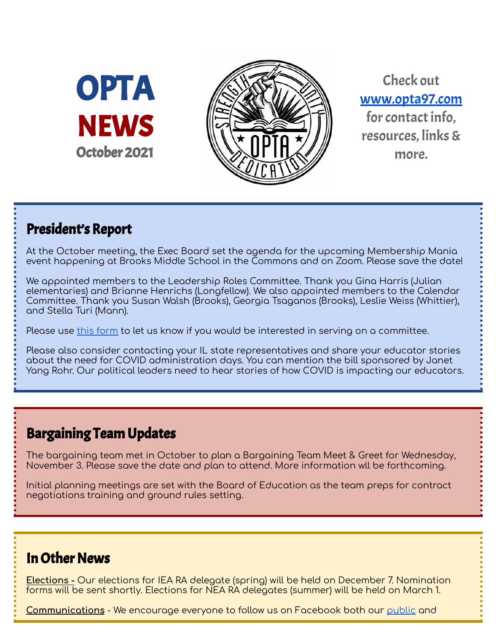OPTA **NEWS** October 2021



Check out [www.opta97.com](http://www.opta97.com) for contact info. resources, links& more.

## President's Report

At the October meeting, the Exec Board set the agenda for the upcoming Membership Mania event happening at Brooks Middle School in the Commons and on Zoom. Please save the date!

We appointed members to the Leadership Roles Committee. Thank you Gina Harris (Julian elementaries) and Brianne Henrichs (Longfellow). We also appointed members to the Calendar Committee. Thank you Susan Walsh (Brooks), Georgia Tsaganos (Brooks), Leslie Weiss (Whittier), and Stella Turi (Mann).

Please use this [form](https://forms.gle/PWNLZLvVpkbKZL8p8) to let us know if you would be interested in serving on a committee.

Please also consider contacting your IL state representatives and share your educator stories about the need for COVID administration days. You can mention the bill sponsored by Janet Yang Rohr. Our political leaders need to hear stories of how COVID is impacting our educators.

## Bargaining Team Updates

The bargaining team met in October to plan a Bargaining Team Meet & Greet for Wednesday, November 3. Please save the date and plan to attend. More information wll be forthcoming.

Initial planning meetings are set with the Board of Education as the team preps for contract negotiations training and ground rules setting.

## **In Other News**

**Elections -** Our elections for IEA RA delegate (spring) will be held on December 7. Nomination forms will be sent shortly. Elections for NEA RA delegates (summer) will be held on March 1.

**Communications** - We encourage everyone to follow us on Facebook both our [public](http://www.facebook.com/opta97) and